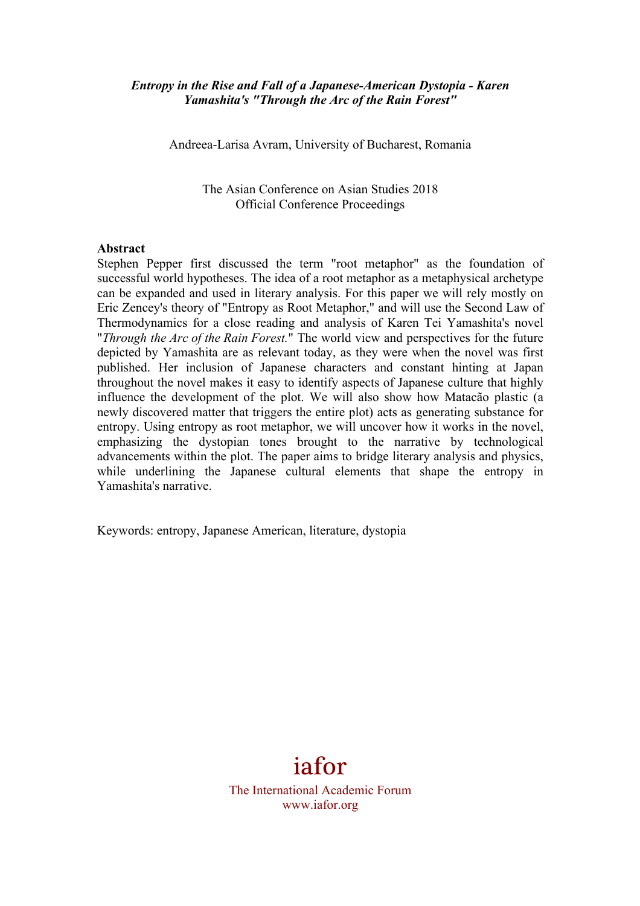### *Entropy in the Rise and Fall of a Japanese-American Dystopia - Karen Yamashita's "Through the Arc of the Rain Forest"*

Andreea-Larisa Avram, University of Bucharest, Romania

The Asian Conference on Asian Studies 2018 Official Conference Proceedings

#### **Abstract**

Stephen Pepper first discussed the term "root metaphor" as the foundation of successful world hypotheses. The idea of a root metaphor as a metaphysical archetype can be expanded and used in literary analysis. For this paper we will rely mostly on Eric Zencey's theory of "Entropy as Root Metaphor," and will use the Second Law of Thermodynamics for a close reading and analysis of Karen Tei Yamashita's novel "*Through the Arc of the Rain Forest.*" The world view and perspectives for the future depicted by Yamashita are as relevant today, as they were when the novel was first published. Her inclusion of Japanese characters and constant hinting at Japan throughout the novel makes it easy to identify aspects of Japanese culture that highly influence the development of the plot. We will also show how Matacão plastic (a newly discovered matter that triggers the entire plot) acts as generating substance for entropy. Using entropy as root metaphor, we will uncover how it works in the novel, emphasizing the dystopian tones brought to the narrative by technological advancements within the plot. The paper aims to bridge literary analysis and physics, while underlining the Japanese cultural elements that shape the entropy in Yamashita's narrative.

Keywords: entropy, Japanese American, literature, dystopia

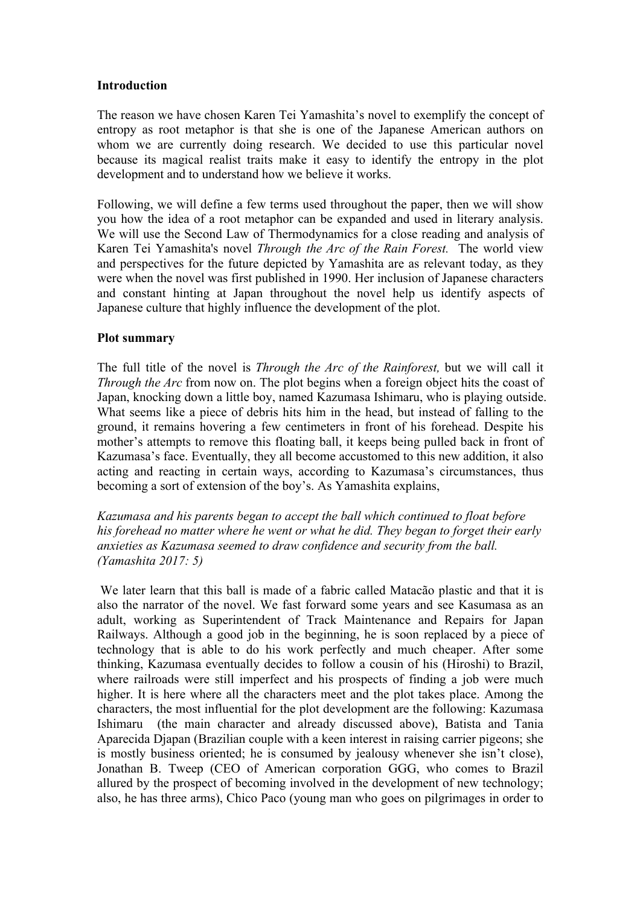### **Introduction**

The reason we have chosen Karen Tei Yamashita's novel to exemplify the concept of entropy as root metaphor is that she is one of the Japanese American authors on whom we are currently doing research. We decided to use this particular novel because its magical realist traits make it easy to identify the entropy in the plot development and to understand how we believe it works.

Following, we will define a few terms used throughout the paper, then we will show you how the idea of a root metaphor can be expanded and used in literary analysis. We will use the Second Law of Thermodynamics for a close reading and analysis of Karen Tei Yamashita's novel *Through the Arc of the Rain Forest.* The world view and perspectives for the future depicted by Yamashita are as relevant today, as they were when the novel was first published in 1990. Her inclusion of Japanese characters and constant hinting at Japan throughout the novel help us identify aspects of Japanese culture that highly influence the development of the plot.

### **Plot summary**

The full title of the novel is *Through the Arc of the Rainforest,* but we will call it *Through the Arc* from now on. The plot begins when a foreign object hits the coast of Japan, knocking down a little boy, named Kazumasa Ishimaru, who is playing outside. What seems like a piece of debris hits him in the head, but instead of falling to the ground, it remains hovering a few centimeters in front of his forehead. Despite his mother's attempts to remove this floating ball, it keeps being pulled back in front of Kazumasa's face. Eventually, they all become accustomed to this new addition, it also acting and reacting in certain ways, according to Kazumasa's circumstances, thus becoming a sort of extension of the boy's. As Yamashita explains,

*Kazumasa and his parents began to accept the ball which continued to float before his forehead no matter where he went or what he did. They began to forget their early anxieties as Kazumasa seemed to draw confidence and security from the ball. (Yamashita 2017: 5)*

We later learn that this ball is made of a fabric called Matacão plastic and that it is also the narrator of the novel. We fast forward some years and see Kasumasa as an adult, working as Superintendent of Track Maintenance and Repairs for Japan Railways. Although a good job in the beginning, he is soon replaced by a piece of technology that is able to do his work perfectly and much cheaper. After some thinking, Kazumasa eventually decides to follow a cousin of his (Hiroshi) to Brazil, where railroads were still imperfect and his prospects of finding a job were much higher. It is here where all the characters meet and the plot takes place. Among the characters, the most influential for the plot development are the following: Kazumasa Ishimaru (the main character and already discussed above), Batista and Tania Aparecida Djapan (Brazilian couple with a keen interest in raising carrier pigeons; she is mostly business oriented; he is consumed by jealousy whenever she isn't close), Jonathan B. Tweep (CEO of American corporation GGG, who comes to Brazil allured by the prospect of becoming involved in the development of new technology; also, he has three arms), Chico Paco (young man who goes on pilgrimages in order to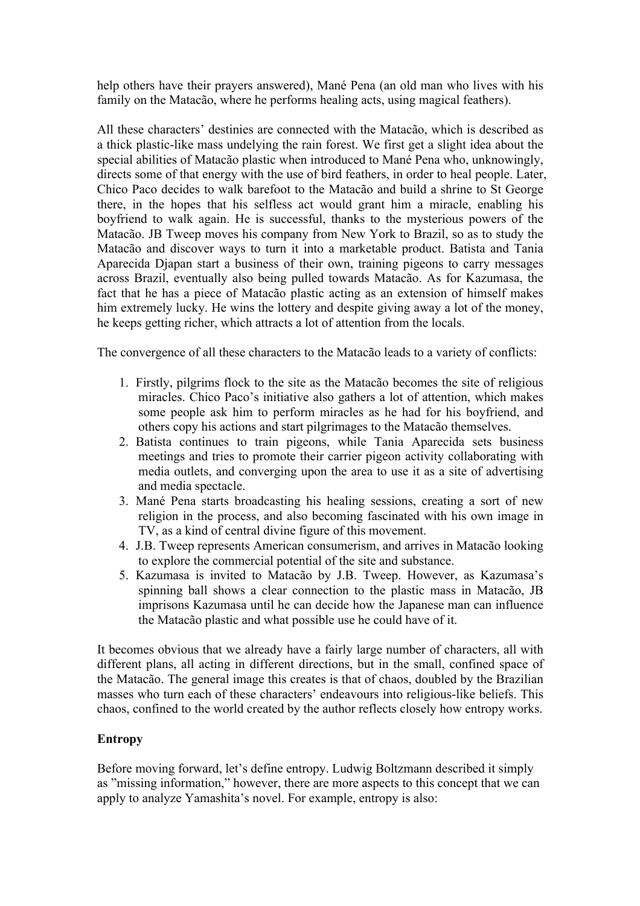help others have their prayers answered), Mané Pena (an old man who lives with his family on the Matacão, where he performs healing acts, using magical feathers).

All these characters' destinies are connected with the Matacão, which is described as a thick plastic-like mass undelying the rain forest. We first get a slight idea about the special abilities of Matacão plastic when introduced to Mané Pena who, unknowingly, directs some of that energy with the use of bird feathers, in order to heal people. Later, Chico Paco decides to walk barefoot to the Matacão and build a shrine to St George there, in the hopes that his selfless act would grant him a miracle, enabling his boyfriend to walk again. He is successful, thanks to the mysterious powers of the Matacão. JB Tweep moves his company from New York to Brazil, so as to study the Matacão and discover ways to turn it into a marketable product. Batista and Tania Aparecida Djapan start a business of their own, training pigeons to carry messages across Brazil, eventually also being pulled towards Matacão. As for Kazumasa, the fact that he has a piece of Matacão plastic acting as an extension of himself makes him extremely lucky. He wins the lottery and despite giving away a lot of the money, he keeps getting richer, which attracts a lot of attention from the locals.

The convergence of all these characters to the Matacão leads to a variety of conflicts:

- 1. Firstly, pilgrims flock to the site as the Matacão becomes the site of religious miracles. Chico Paco's initiative also gathers a lot of attention, which makes some people ask him to perform miracles as he had for his boyfriend, and others copy his actions and start pilgrimages to the Matacão themselves.
- 2. Batista continues to train pigeons, while Tania Aparecida sets business meetings and tries to promote their carrier pigeon activity collaborating with media outlets, and converging upon the area to use it as a site of advertising and media spectacle.
- 3. Mané Pena starts broadcasting his healing sessions, creating a sort of new religion in the process, and also becoming fascinated with his own image in TV, as a kind of central divine figure of this movement.
- 4. J.B. Tweep represents American consumerism, and arrives in Matacão looking to explore the commercial potential of the site and substance.
- 5. Kazumasa is invited to Matacão by J.B. Tweep. However, as Kazumasa's spinning ball shows a clear connection to the plastic mass in Matacão, JB imprisons Kazumasa until he can decide how the Japanese man can influence the Matacão plastic and what possible use he could have of it.

It becomes obvious that we already have a fairly large number of characters, all with different plans, all acting in different directions, but in the small, confined space of the Matacão. The general image this creates is that of chaos, doubled by the Brazilian masses who turn each of these characters' endeavours into religious-like beliefs. This chaos, confined to the world created by the author reflects closely how entropy works.

# **Entropy**

Before moving forward, let's define entropy. Ludwig Boltzmann described it simply as "missing information," however, there are more aspects to this concept that we can apply to analyze Yamashita's novel. For example, entropy is also: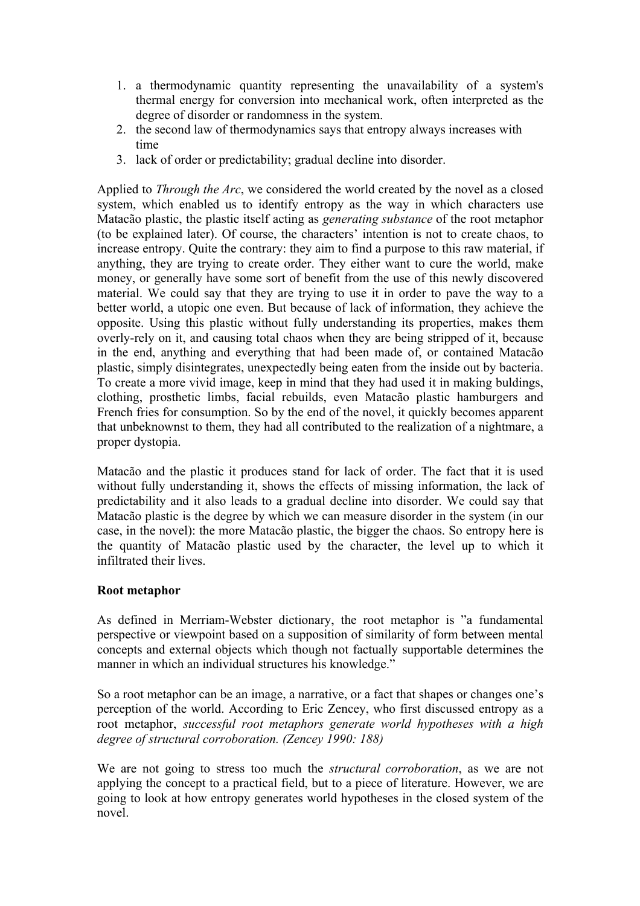- 1. a thermodynamic quantity representing the unavailability of a system's thermal energy for conversion into mechanical work, often interpreted as the degree of disorder or randomness in the system.
- 2. the second law of thermodynamics says that entropy always increases with time
- 3. lack of order or predictability; gradual decline into disorder.

Applied to *Through the Arc*, we considered the world created by the novel as a closed system, which enabled us to identify entropy as the way in which characters use Matacão plastic, the plastic itself acting as *generating substance* of the root metaphor (to be explained later). Of course, the characters' intention is not to create chaos, to increase entropy. Quite the contrary: they aim to find a purpose to this raw material, if anything, they are trying to create order. They either want to cure the world, make money, or generally have some sort of benefit from the use of this newly discovered material. We could say that they are trying to use it in order to pave the way to a better world, a utopic one even. But because of lack of information, they achieve the opposite. Using this plastic without fully understanding its properties, makes them overly-rely on it, and causing total chaos when they are being stripped of it, because in the end, anything and everything that had been made of, or contained Matacão plastic, simply disintegrates, unexpectedly being eaten from the inside out by bacteria. To create a more vivid image, keep in mind that they had used it in making buldings, clothing, prosthetic limbs, facial rebuilds, even Matacão plastic hamburgers and French fries for consumption. So by the end of the novel, it quickly becomes apparent that unbeknownst to them, they had all contributed to the realization of a nightmare, a proper dystopia.

Matacão and the plastic it produces stand for lack of order. The fact that it is used without fully understanding it, shows the effects of missing information, the lack of predictability and it also leads to a gradual decline into disorder. We could say that Matacão plastic is the degree by which we can measure disorder in the system (in our case, in the novel): the more Matacão plastic, the bigger the chaos. So entropy here is the quantity of Matacão plastic used by the character, the level up to which it infiltrated their lives.

# **Root metaphor**

As defined in Merriam-Webster dictionary, the root metaphor is "a fundamental perspective or viewpoint based on a supposition of similarity of form between mental concepts and external objects which though not factually supportable determines the manner in which an individual structures his knowledge."

So a root metaphor can be an image, a narrative, or a fact that shapes or changes one's perception of the world. According to Eric Zencey, who first discussed entropy as a root metaphor, *successful root metaphors generate world hypotheses with a high degree of structural corroboration. (Zencey 1990: 188)*

We are not going to stress too much the *structural corroboration*, as we are not applying the concept to a practical field, but to a piece of literature. However, we are going to look at how entropy generates world hypotheses in the closed system of the novel.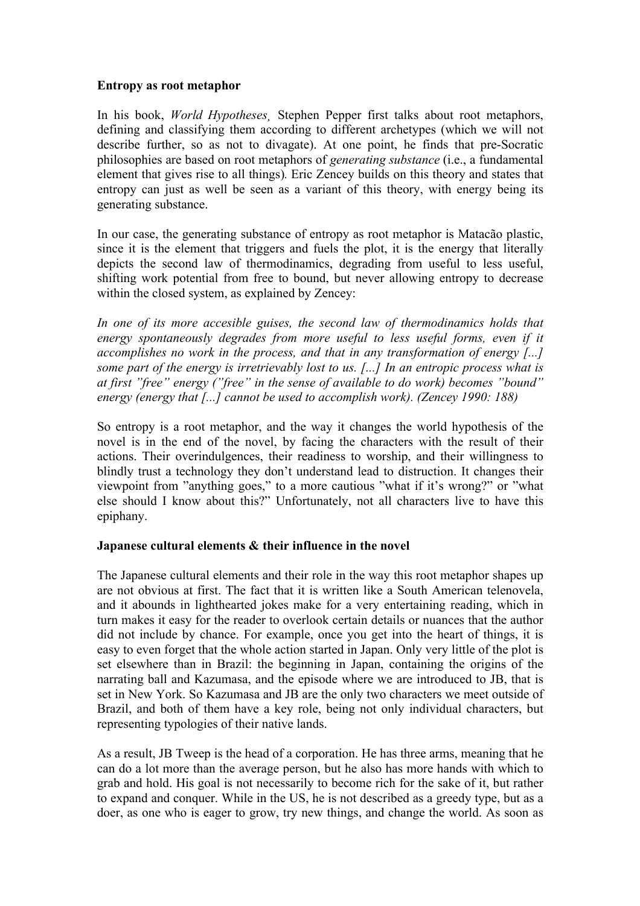### **Entropy as root metaphor**

In his book, *World Hypotheses¸* Stephen Pepper first talks about root metaphors, defining and classifying them according to different archetypes (which we will not describe further, so as not to divagate). At one point, he finds that pre-Socratic philosophies are based on root metaphors of *generating substance* (i.e., a fundamental element that gives rise to all things)*.* Eric Zencey builds on this theory and states that entropy can just as well be seen as a variant of this theory, with energy being its generating substance.

In our case, the generating substance of entropy as root metaphor is Matacão plastic, since it is the element that triggers and fuels the plot, it is the energy that literally depicts the second law of thermodinamics, degrading from useful to less useful, shifting work potential from free to bound, but never allowing entropy to decrease within the closed system, as explained by Zencey:

*In one of its more accesible guises, the second law of thermodinamics holds that*  energy spontaneously degrades from more useful to less useful forms, even if it *accomplishes no work in the process, and that in any transformation of energy [...] some part of the energy is irretrievably lost to us. [...] In an entropic process what is at first "free" energy ("free" in the sense of available to do work) becomes "bound" energy (energy that [...] cannot be used to accomplish work). (Zencey 1990: 188)*

So entropy is a root metaphor, and the way it changes the world hypothesis of the novel is in the end of the novel, by facing the characters with the result of their actions. Their overindulgences, their readiness to worship, and their willingness to blindly trust a technology they don't understand lead to distruction. It changes their viewpoint from "anything goes," to a more cautious "what if it's wrong?" or "what else should I know about this?" Unfortunately, not all characters live to have this epiphany.

# **Japanese cultural elements & their influence in the novel**

The Japanese cultural elements and their role in the way this root metaphor shapes up are not obvious at first. The fact that it is written like a South American telenovela, and it abounds in lighthearted jokes make for a very entertaining reading, which in turn makes it easy for the reader to overlook certain details or nuances that the author did not include by chance. For example, once you get into the heart of things, it is easy to even forget that the whole action started in Japan. Only very little of the plot is set elsewhere than in Brazil: the beginning in Japan, containing the origins of the narrating ball and Kazumasa, and the episode where we are introduced to JB, that is set in New York. So Kazumasa and JB are the only two characters we meet outside of Brazil, and both of them have a key role, being not only individual characters, but representing typologies of their native lands.

As a result, JB Tweep is the head of a corporation. He has three arms, meaning that he can do a lot more than the average person, but he also has more hands with which to grab and hold. His goal is not necessarily to become rich for the sake of it, but rather to expand and conquer. While in the US, he is not described as a greedy type, but as a doer, as one who is eager to grow, try new things, and change the world. As soon as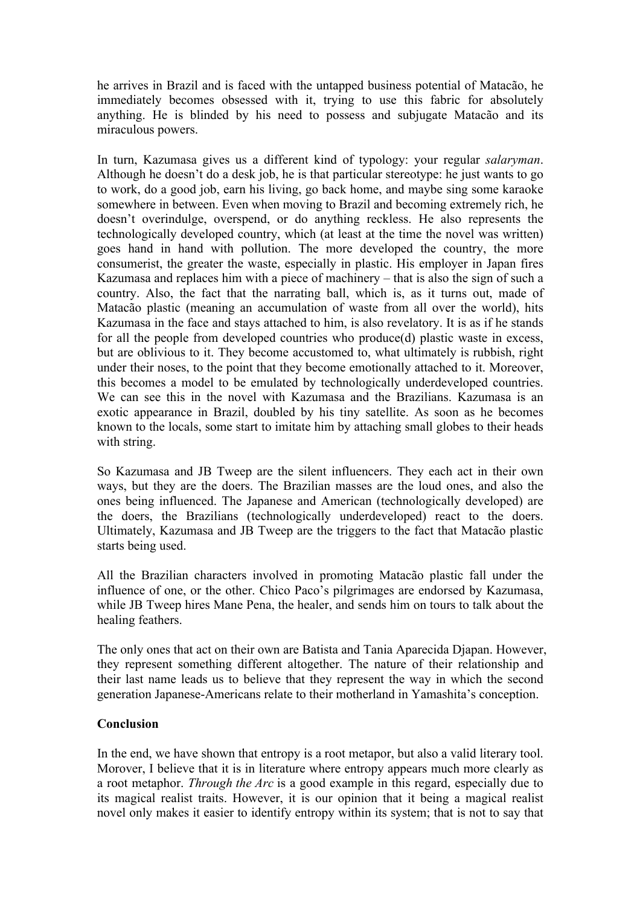he arrives in Brazil and is faced with the untapped business potential of Matacão, he immediately becomes obsessed with it, trying to use this fabric for absolutely anything. He is blinded by his need to possess and subjugate Matacão and its miraculous powers.

In turn, Kazumasa gives us a different kind of typology: your regular *salaryman*. Although he doesn't do a desk job, he is that particular stereotype: he just wants to go to work, do a good job, earn his living, go back home, and maybe sing some karaoke somewhere in between. Even when moving to Brazil and becoming extremely rich, he doesn't overindulge, overspend, or do anything reckless. He also represents the technologically developed country, which (at least at the time the novel was written) goes hand in hand with pollution. The more developed the country, the more consumerist, the greater the waste, especially in plastic. His employer in Japan fires Kazumasa and replaces him with a piece of machinery – that is also the sign of such a country. Also, the fact that the narrating ball, which is, as it turns out, made of Matacão plastic (meaning an accumulation of waste from all over the world), hits Kazumasa in the face and stays attached to him, is also revelatory. It is as if he stands for all the people from developed countries who produce(d) plastic waste in excess, but are oblivious to it. They become accustomed to, what ultimately is rubbish, right under their noses, to the point that they become emotionally attached to it. Moreover, this becomes a model to be emulated by technologically underdeveloped countries. We can see this in the novel with Kazumasa and the Brazilians. Kazumasa is an exotic appearance in Brazil, doubled by his tiny satellite. As soon as he becomes known to the locals, some start to imitate him by attaching small globes to their heads with string.

So Kazumasa and JB Tweep are the silent influencers. They each act in their own ways, but they are the doers. The Brazilian masses are the loud ones, and also the ones being influenced. The Japanese and American (technologically developed) are the doers, the Brazilians (technologically underdeveloped) react to the doers. Ultimately, Kazumasa and JB Tweep are the triggers to the fact that Matacão plastic starts being used.

All the Brazilian characters involved in promoting Matacão plastic fall under the influence of one, or the other. Chico Paco's pilgrimages are endorsed by Kazumasa, while JB Tweep hires Mane Pena, the healer, and sends him on tours to talk about the healing feathers.

The only ones that act on their own are Batista and Tania Aparecida Djapan. However, they represent something different altogether. The nature of their relationship and their last name leads us to believe that they represent the way in which the second generation Japanese-Americans relate to their motherland in Yamashita's conception.

### **Conclusion**

In the end, we have shown that entropy is a root metapor, but also a valid literary tool. Morover, I believe that it is in literature where entropy appears much more clearly as a root metaphor. *Through the Arc* is a good example in this regard, especially due to its magical realist traits. However, it is our opinion that it being a magical realist novel only makes it easier to identify entropy within its system; that is not to say that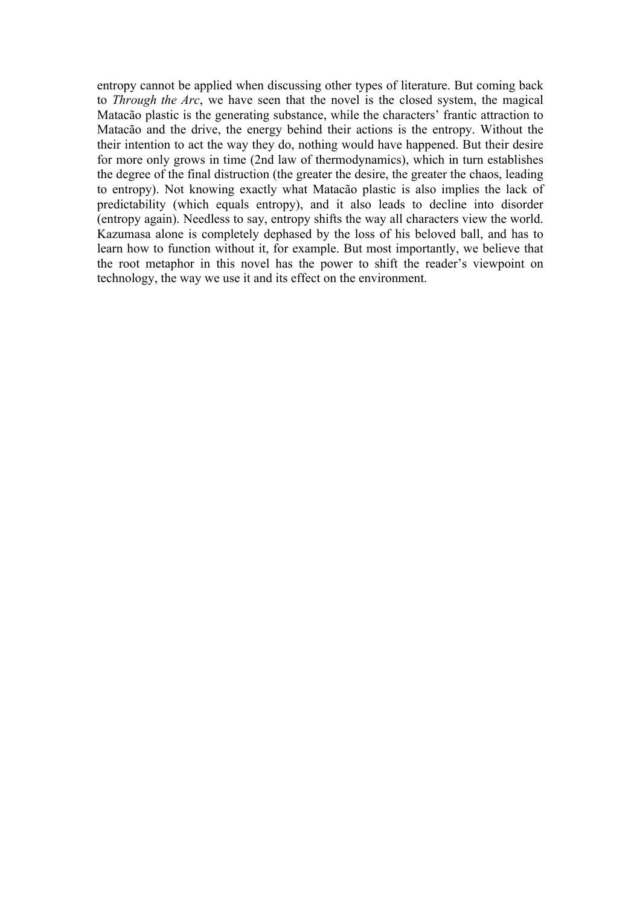entropy cannot be applied when discussing other types of literature. But coming back to *Through the Arc*, we have seen that the novel is the closed system, the magical Matacão plastic is the generating substance, while the characters' frantic attraction to Matacão and the drive, the energy behind their actions is the entropy. Without the their intention to act the way they do, nothing would have happened. But their desire for more only grows in time (2nd law of thermodynamics), which in turn establishes the degree of the final distruction (the greater the desire, the greater the chaos, leading to entropy). Not knowing exactly what Matacão plastic is also implies the lack of predictability (which equals entropy), and it also leads to decline into disorder (entropy again). Needless to say, entropy shifts the way all characters view the world. Kazumasa alone is completely dephased by the loss of his beloved ball, and has to learn how to function without it, for example. But most importantly, we believe that the root metaphor in this novel has the power to shift the reader's viewpoint on technology, the way we use it and its effect on the environment.